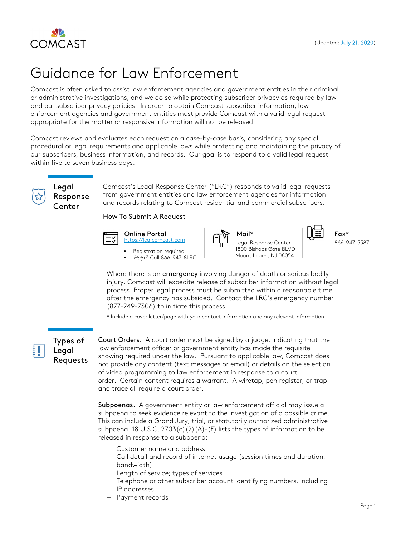

# Guidance for Law Enforcement

Comcast is often asked to assist law enforcement agencies and government entities in their criminal or administrative investigations, and we do so while protecting subscriber privacy as required by law and our subscriber privacy policies. In order to obtain Comcast subscriber information, law enforcement agencies and government entities must provide Comcast with a valid legal request appropriate for the matter or responsive information will not be released.

Comcast reviews and evaluates each request on a case-by-case basis, considering any special procedural or legal requirements and applicable laws while protecting and maintaining the privacy of our subscribers, business information, and records. Our goal is to respond to a valid legal request within five to seven business days.



Legal Response Center

Comcast's Legal Response Center ("LRC") responds to valid legal requests from government entities and law enforcement agencies for information and records relating to Comcast residential and commercial subscribers.

How To Submit A Request



Online Portal https://lea.comcast.com

Registration required • Help? Call 866-947-8LRC



Mail\* Fax\* Legal Response Center 1800 Bishops Gate BLVD Mount Laurel, NJ 08054



866-947-5587

Where there is an emergency involving danger of death or serious bodily injury, Comcast will expedite release of subscriber information without legal process. Proper legal process must be submitted within a reasonable time after the emergency has subsided. Contact the LRC's emergency number (877-249-7306) to initiate this process.

\* Include a cover letter/page with your contact information and any relevant information.

Types of Legal Requests Court Orders. A court order must be signed by a judge, indicating that the law enforcement officer or government entity has made the requisite showing required under the law. Pursuant to applicable law, Comcast does not provide any content (text messages or email) or details on the selection of video programming to law enforcement in response to a court order. Certain content requires a warrant. A wiretap, pen register, or trap and trace all require a court order.

Subpoenas. A government entity or law enforcement official may issue a subpoena to seek evidence relevant to the investigation of a possible crime. This can include a Grand Jury, trial, or statutorily authorized administrative subpoena. 18 U.S.C. 2703(c)(2)(A)-(F) lists the types of information to be released in response to a subpoena:

- ‒ Customer name and address
- Call detail and record of internet usage (session times and duration; bandwidth)
- ‒ Length of service; types of services
- Telephone or other subscriber account identifying numbers, including IP addresses
- ‒ Payment records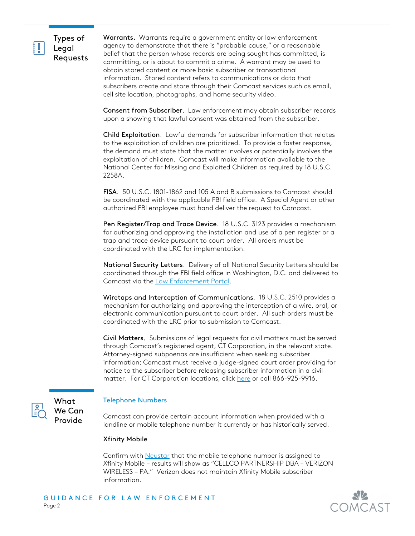

Types of Legal Requests

Warrants. Warrants require a government entity or law enforcement agency to demonstrate that there is "probable cause," or a reasonable belief that the person whose records are being sought has committed, is committing, or is about to commit a crime. A warrant may be used to obtain stored content or more basic subscriber or transactional information. Stored content refers to communications or data that subscribers create and store through their Comcast services such as email, cell site location, photographs, and home security video.

Consent from Subscriber. Law enforcement may obtain subscriber records upon a showing that lawful consent was obtained from the subscriber.

Child Exploitation. Lawful demands for subscriber information that relates to the exploitation of children are prioritized. To provide a faster response, the demand must state that the matter involves or potentially involves the exploitation of children. Comcast will make information available to the National Center for Missing and Exploited Children as required by 18 U.S.C. 2258A.

FISA. 50 U.S.C. 1801-1862 and 105 A and B submissions to Comcast should be coordinated with the applicable FBI field office. A Special Agent or other authorized FBI employee must hand deliver the request to Comcast.

Pen Register/Trap and Trace Device. 18 U.S.C. 3123 provides a mechanism for authorizing and approving the installation and use of a pen register or a trap and trace device pursuant to court order. All orders must be coordinated with the LRC for implementation.

National Security Letters. Delivery of all National Security Letters should be coordinated through the FBI field office in Washington, D.C. and delivered to Comcast via the [Law Enforcement Portal.](https://lea.comcast.com)

Wiretaps and Interception of Communications. 18 U.S.C. 2510 provides a mechanism for authorizing and approving the interception of a wire, oral, or electronic communication pursuant to court order. All such orders must be coordinated with the LRC prior to submission to Comcast.

Civil Matters. Submissions of legal requests for civil matters must be served through Comcast's registered agent, CT Corporation, in the relevant state. Attorney-signed subpoenas are insufficient when seeking subscriber information; Comcast must receive a judge-signed court order providing for notice to the subscriber before releasing subscriber information in a civil matter. For CT Corporation locations, click [here](https://ct.wolterskluwer.com/sop-locations) or call 866-925-9916.



What We Can Provide

# Telephone Numbers

Comcast can provide certain account information when provided with a landline or mobile telephone number it currently or has historically served.

## Xfinity Mobile

Confirm with [Neustar](https://www.neustar.biz/) that the mobile telephone number is assigned to Xfinity Mobile – results will show as "CELLCO PARTNERSHIP DBA – VERIZON WIRELESS – PA." Verizon does not maintain Xfinity Mobile subscriber information.

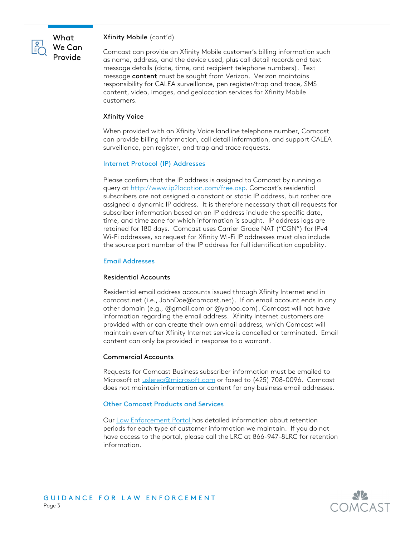

## Xfinity Mobile (cont'd)

Comcast can provide an Xfinity Mobile customer's billing information such as name, address, and the device used, plus call detail records and text message details (date, time, and recipient telephone numbers). Text message content must be sought from Verizon. Verizon maintains responsibility for CALEA surveillance, pen register/trap and trace, SMS content, video, images, and geolocation services for Xfinity Mobile customers.

### Xfinity Voice

When provided with an Xfinity Voice landline telephone number, Comcast can provide billing information, call detail information, and support CALEA surveillance, pen register, and trap and trace requests.

## Internet Protocol (IP) Addresses

Please confirm that the IP address is assigned to Comcast by running a query at<http://www.ip2location.com/free.asp>. Comcast's residential subscribers are not assigned a constant or static IP address, but rather are assigned a dynamic IP address. It is therefore necessary that all requests for subscriber information based on an IP address include the specific date, time, and time zone for which information is sought. IP address logs are retained for 180 days. Comcast uses Carrier Grade NAT ("CGN") for IPv4 Wi-Fi addresses, so request for Xfinity Wi-Fi IP addresses must also include the source port number of the IP address for full identification capability.

### Email Addresses

#### Residential Accounts

Residential email address accounts issued through Xfinity Internet end in comcast.net (i.e., JohnDoe@comcast.net). If an email account ends in any other domain (e.g., @gmail.com or @yahoo.com), Comcast will not have information regarding the email address. Xfinity Internet customers are provided with or can create their own email address, which Comcast will maintain even after Xfinity Internet service is cancelled or terminated. Email content can only be provided in response to a warrant.

#### Commercial Accounts

Requests for Comcast Business subscriber information must be emailed to Microsoft at *uslereq*@microsoft.com</u> or faxed to (425) 708-0096. Comcast does not maintain information or content for any business email addresses.

## Other Comcast Products and Services

Our [Law Enforcement Portal](https://lea.comcast.com) has detailed information about retention periods for each type of customer information we maintain. If you do not have access to the portal, please call the LRC at 866-947-8LRC for retention information.